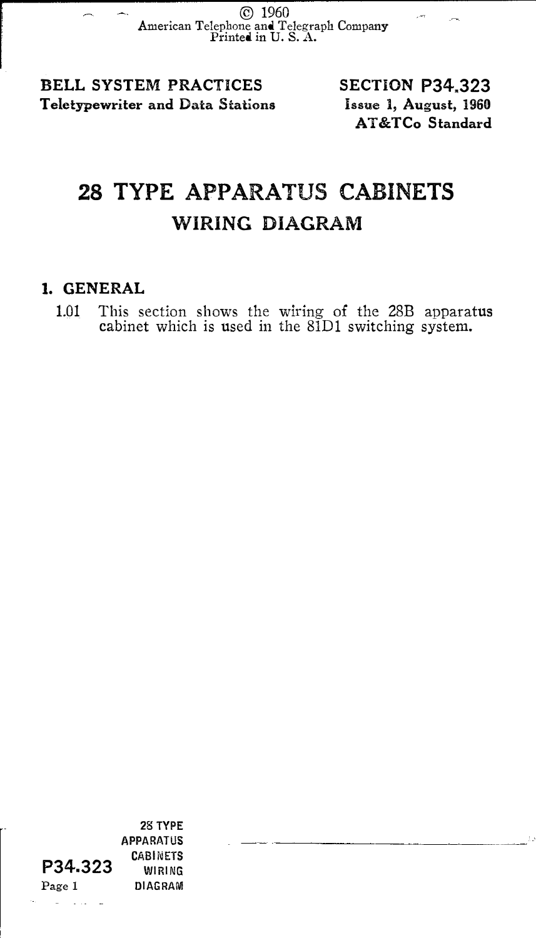© <sup>1960</sup> American Telephone and Telegraph Company Printed in U. S. A.

BELL SYSTEM PRACTICES Teletypewriter and Data Stations

SECTION P34,323 Issue 1, August, 1960 AT&TCo Standard

## 28 TYPE APPARATUS CABINETS WIRING DIAGRAM

## 1. GENERAL

1.01 This section shows the wiring of the 28B apparatus cabinet which is used in the 81Dl switching system.

P34.323 Page I 28 TYPE APPARATUS CABINETS WIRING DIAGRAM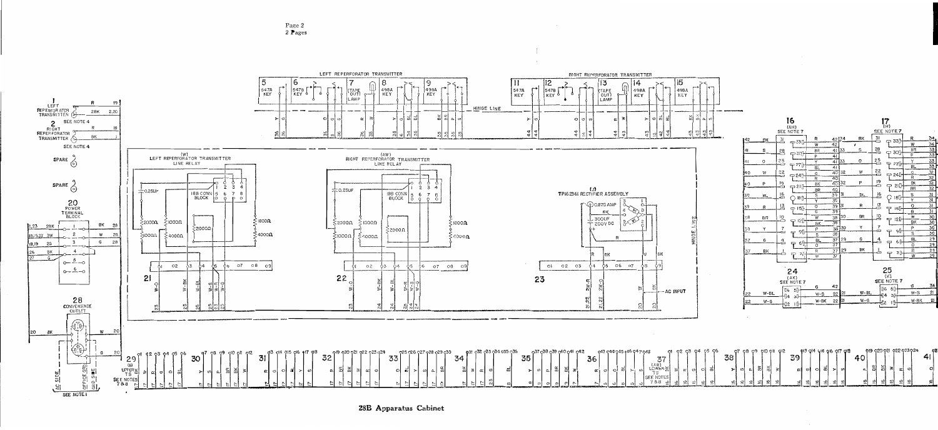Page 2 2 Pages



28B Apparatus Cabinet